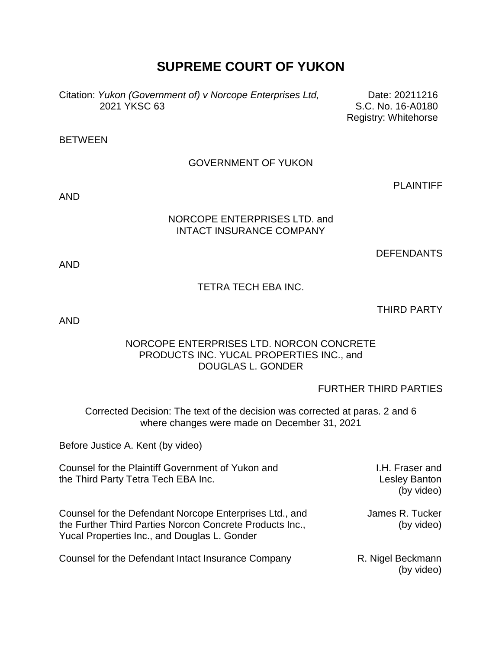# **SUPREME COURT OF YUKON**

Citation: *Yukon (Government of) v Norcope Enterprises Ltd,* 2021 YKSC 63

Date: 20211216 S.C. No. 16-A0180 Registry: Whitehorse

BETWEEN

# GOVERNMENT OF YUKON

AND

#### NORCOPE ENTERPRISES LTD. and INTACT INSURANCE COMPANY

DEFENDANTS

PLAINTIFF

AND

# TETRA TECH EBA INC.

THIRD PARTY

AND

# NORCOPE ENTERPRISES LTD. NORCON CONCRETE PRODUCTS INC. YUCAL PROPERTIES INC., and DOUGLAS L. GONDER

FURTHER THIRD PARTIES

Corrected Decision: The text of the decision was corrected at paras. 2 and 6 where changes were made on December 31, 2021

Before Justice A. Kent (by video)

| Counsel for the Plaintiff Government of Yukon and<br>the Third Party Tetra Tech EBA Inc.                                                                            | I.H. Fraser and<br><b>Lesley Banton</b><br>(by video) |
|---------------------------------------------------------------------------------------------------------------------------------------------------------------------|-------------------------------------------------------|
| Counsel for the Defendant Norcope Enterprises Ltd., and<br>the Further Third Parties Norcon Concrete Products Inc.,<br>Yucal Properties Inc., and Douglas L. Gonder | James R. Tucker<br>(by video)                         |
| Counsel for the Defendant Intact Insurance Company                                                                                                                  | R. Nigel Beckmann<br>(by video)                       |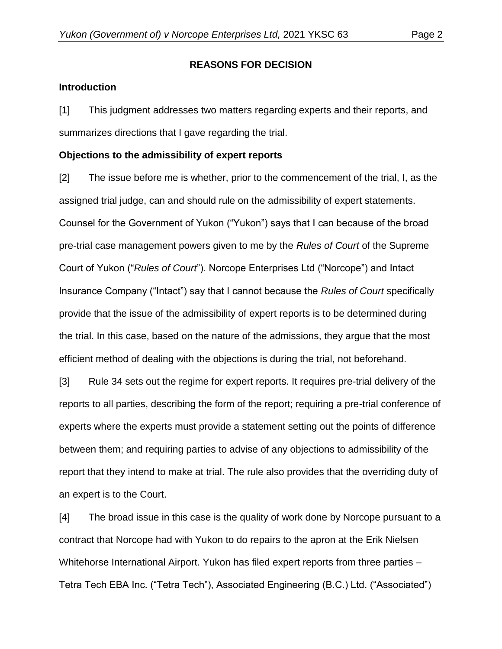#### **REASONS FOR DECISION**

#### **Introduction**

[1] This judgment addresses two matters regarding experts and their reports, and summarizes directions that I gave regarding the trial.

# **Objections to the admissibility of expert reports**

[2] The issue before me is whether, prior to the commencement of the trial, I, as the assigned trial judge, can and should rule on the admissibility of expert statements. Counsel for the Government of Yukon ("Yukon") says that I can because of the broad pre-trial case management powers given to me by the *Rules of Court* of the Supreme Court of Yukon ("*Rules of Court*"). Norcope Enterprises Ltd ("Norcope") and Intact Insurance Company ("Intact") say that I cannot because the *Rules of Court* specifically provide that the issue of the admissibility of expert reports is to be determined during the trial. In this case, based on the nature of the admissions, they argue that the most efficient method of dealing with the objections is during the trial, not beforehand.

[3] Rule 34 sets out the regime for expert reports. It requires pre-trial delivery of the reports to all parties, describing the form of the report; requiring a pre-trial conference of experts where the experts must provide a statement setting out the points of difference between them; and requiring parties to advise of any objections to admissibility of the report that they intend to make at trial. The rule also provides that the overriding duty of an expert is to the Court.

[4] The broad issue in this case is the quality of work done by Norcope pursuant to a contract that Norcope had with Yukon to do repairs to the apron at the Erik Nielsen Whitehorse International Airport. Yukon has filed expert reports from three parties – Tetra Tech EBA Inc. ("Tetra Tech"), Associated Engineering (B.C.) Ltd. ("Associated")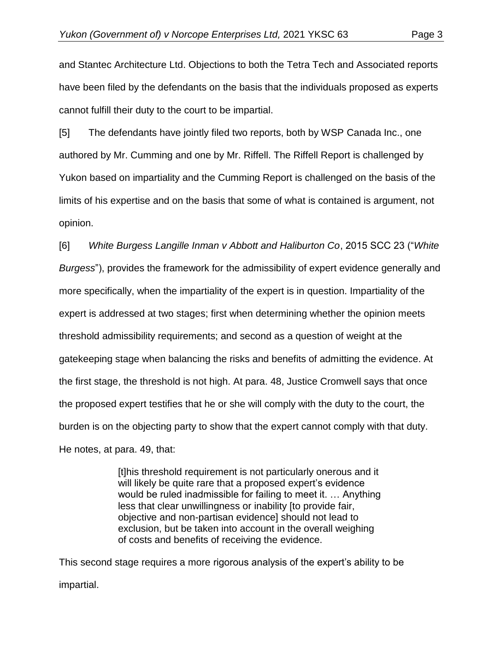and Stantec Architecture Ltd. Objections to both the Tetra Tech and Associated reports have been filed by the defendants on the basis that the individuals proposed as experts cannot fulfill their duty to the court to be impartial.

[5] The defendants have jointly filed two reports, both by WSP Canada Inc., one authored by Mr. Cumming and one by Mr. Riffell. The Riffell Report is challenged by Yukon based on impartiality and the Cumming Report is challenged on the basis of the limits of his expertise and on the basis that some of what is contained is argument, not opinion.

[6] *White Burgess Langille Inman v Abbott and Haliburton Co*, 2015 SCC 23 ("*White Burgess*"), provides the framework for the admissibility of expert evidence generally and more specifically, when the impartiality of the expert is in question. Impartiality of the expert is addressed at two stages; first when determining whether the opinion meets threshold admissibility requirements; and second as a question of weight at the gatekeeping stage when balancing the risks and benefits of admitting the evidence. At the first stage, the threshold is not high. At para. 48, Justice Cromwell says that once the proposed expert testifies that he or she will comply with the duty to the court, the burden is on the objecting party to show that the expert cannot comply with that duty. He notes, at para. 49, that:

> [t]his threshold requirement is not particularly onerous and it will likely be quite rare that a proposed expert's evidence would be ruled inadmissible for failing to meet it. … Anything less that clear unwillingness or inability [to provide fair, objective and non-partisan evidence] should not lead to exclusion, but be taken into account in the overall weighing of costs and benefits of receiving the evidence.

This second stage requires a more rigorous analysis of the expert's ability to be impartial.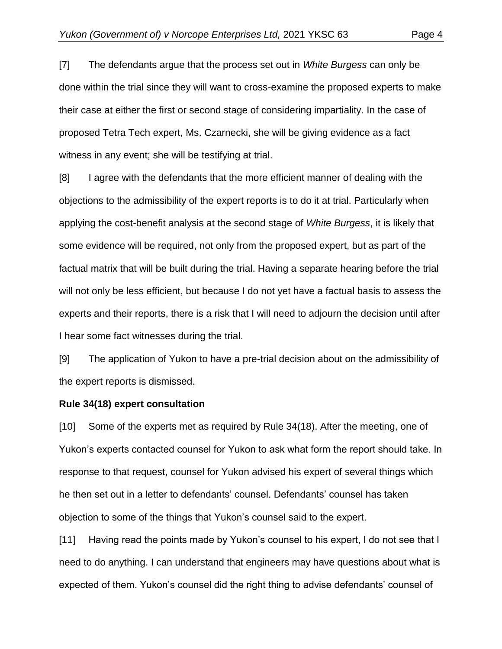[7] The defendants argue that the process set out in *White Burgess* can only be done within the trial since they will want to cross-examine the proposed experts to make their case at either the first or second stage of considering impartiality. In the case of proposed Tetra Tech expert, Ms. Czarnecki, she will be giving evidence as a fact witness in any event; she will be testifying at trial.

[8] I agree with the defendants that the more efficient manner of dealing with the objections to the admissibility of the expert reports is to do it at trial. Particularly when applying the cost-benefit analysis at the second stage of *White Burgess*, it is likely that some evidence will be required, not only from the proposed expert, but as part of the factual matrix that will be built during the trial. Having a separate hearing before the trial will not only be less efficient, but because I do not yet have a factual basis to assess the experts and their reports, there is a risk that I will need to adjourn the decision until after I hear some fact witnesses during the trial.

[9] The application of Yukon to have a pre-trial decision about on the admissibility of the expert reports is dismissed.

#### **Rule 34(18) expert consultation**

[10] Some of the experts met as required by Rule 34(18). After the meeting, one of Yukon's experts contacted counsel for Yukon to ask what form the report should take. In response to that request, counsel for Yukon advised his expert of several things which he then set out in a letter to defendants' counsel. Defendants' counsel has taken objection to some of the things that Yukon's counsel said to the expert.

[11] Having read the points made by Yukon's counsel to his expert, I do not see that I need to do anything. I can understand that engineers may have questions about what is expected of them. Yukon's counsel did the right thing to advise defendants' counsel of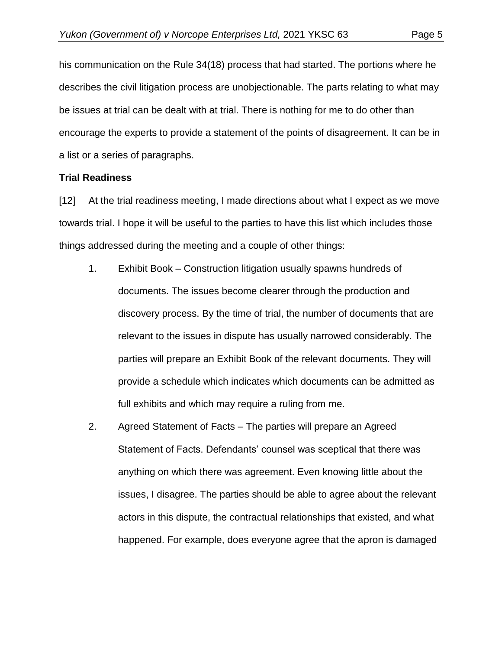his communication on the Rule 34(18) process that had started. The portions where he describes the civil litigation process are unobjectionable. The parts relating to what may be issues at trial can be dealt with at trial. There is nothing for me to do other than encourage the experts to provide a statement of the points of disagreement. It can be in a list or a series of paragraphs.

#### **Trial Readiness**

[12] At the trial readiness meeting, I made directions about what I expect as we move towards trial. I hope it will be useful to the parties to have this list which includes those things addressed during the meeting and a couple of other things:

- 1. Exhibit Book Construction litigation usually spawns hundreds of documents. The issues become clearer through the production and discovery process. By the time of trial, the number of documents that are relevant to the issues in dispute has usually narrowed considerably. The parties will prepare an Exhibit Book of the relevant documents. They will provide a schedule which indicates which documents can be admitted as full exhibits and which may require a ruling from me.
- 2. Agreed Statement of Facts The parties will prepare an Agreed Statement of Facts. Defendants' counsel was sceptical that there was anything on which there was agreement. Even knowing little about the issues, I disagree. The parties should be able to agree about the relevant actors in this dispute, the contractual relationships that existed, and what happened. For example, does everyone agree that the apron is damaged